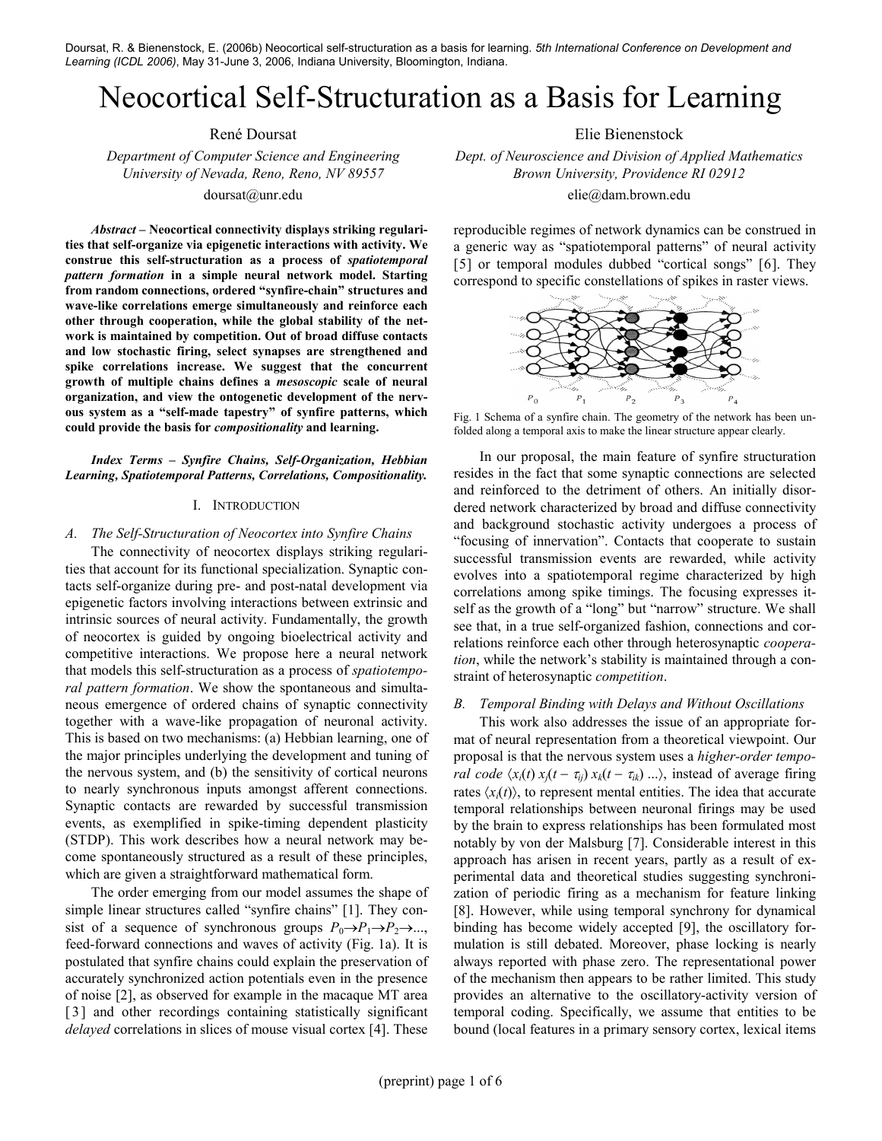Doursat, R. & Bienenstock, E. (2006b) Neocortical self-structuration as a basis for learning. 5th International Conference on Development and Learning (ICDL 2006), May 31-June 3, 2006, Indiana University, Bloomington, Indiana.

# Neocortical Self-Structuration as a Basis for Learning

Abstract – Neocortical connectivity displays striking regularities that self-organize via epigenetic interactions with activity. We construe this self-structuration as a process of spatiotemporal pattern formation in a simple neural network model. Starting from random connections, ordered "synfire-chain" structures and wave-like correlations emerge simultaneously and reinforce each other through cooperation, while the global stability of the network is maintained by competition. Out of broad diffuse contacts and low stochastic firing, select synapses are strengthened and spike correlations increase. We suggest that the concurrent growth of multiple chains defines a mesoscopic scale of neural organization, and view the ontogenetic development of the nervous system as a "self-made tapestry" of synfire patterns, which could provide the basis for compositionality and learning.

Index Terms – Synfire Chains, Self-Organization, Hebbian Learning, Spatiotemporal Patterns, Correlations, Compositionality.

#### I. INTRODUCTION

## A. The Self-Structuration of Neocortex into Synfire Chains

The connectivity of neocortex displays striking regularities that account for its functional specialization. Synaptic contacts self-organize during pre- and post-natal development via epigenetic factors involving interactions between extrinsic and intrinsic sources of neural activity. Fundamentally, the growth of neocortex is guided by ongoing bioelectrical activity and competitive interactions. We propose here a neural network that models this self-structuration as a process of spatiotemporal pattern formation. We show the spontaneous and simultaneous emergence of ordered chains of synaptic connectivity together with a wave-like propagation of neuronal activity. This is based on two mechanisms: (a) Hebbian learning, one of the major principles underlying the development and tuning of the nervous system, and (b) the sensitivity of cortical neurons to nearly synchronous inputs amongst afferent connections. Synaptic contacts are rewarded by successful transmission events, as exemplified in spike-timing dependent plasticity (STDP). This work describes how a neural network may become spontaneously structured as a result of these principles, which are given a straightforward mathematical form.

The order emerging from our model assumes the shape of simple linear structures called "synfire chains" [1]. They consist of a sequence of synchronous groups  $P_0 \rightarrow P_1 \rightarrow P_2 \rightarrow ...$ , feed-forward connections and waves of activity (Fig. 1a). It is postulated that synfire chains could explain the preservation of accurately synchronized action potentials even in the presence of noise [2], as observed for example in the macaque MT area [3] and other recordings containing statistically significant delayed correlations in slices of mouse visual cortex [4]. These

René Doursat Elie Bienenstock

Department of Computer Science and Engineering Dept. of Neuroscience and Division of Applied Mathematics University of Nevada, Reno, Reno, NV 89557 Brown University, Providence RI 02912 doursat@unr.edu elie@dam.brown.edu

> reproducible regimes of network dynamics can be construed in a generic way as "spatiotemporal patterns" of neural activity [5] or temporal modules dubbed "cortical songs" [6]. They correspond to specific constellations of spikes in raster views.



Fig. 1 Schema of a synfire chain. The geometry of the network has been unfolded along a temporal axis to make the linear structure appear clearly.

In our proposal, the main feature of synfire structuration resides in the fact that some synaptic connections are selected and reinforced to the detriment of others. An initially disordered network characterized by broad and diffuse connectivity and background stochastic activity undergoes a process of "focusing of innervation". Contacts that cooperate to sustain successful transmission events are rewarded, while activity evolves into a spatiotemporal regime characterized by high correlations among spike timings. The focusing expresses itself as the growth of a "long" but "narrow" structure. We shall see that, in a true self-organized fashion, connections and correlations reinforce each other through heterosynaptic cooperation, while the network's stability is maintained through a constraint of heterosynaptic competition.

## B. Temporal Binding with Delays and Without Oscillations

This work also addresses the issue of an appropriate format of neural representation from a theoretical viewpoint. Our proposal is that the nervous system uses a higher-order tempo*ral code*  $\langle x_i(t) x_j(t - \tau_{ij}) x_k(t - \tau_{ik}) ... \rangle$ , instead of average firing rates  $\langle x_i(t) \rangle$ , to represent mental entities. The idea that accurate temporal relationships between neuronal firings may be used by the brain to express relationships has been formulated most notably by von der Malsburg [7]. Considerable interest in this approach has arisen in recent years, partly as a result of experimental data and theoretical studies suggesting synchronization of periodic firing as a mechanism for feature linking [8]. However, while using temporal synchrony for dynamical binding has become widely accepted [9], the oscillatory formulation is still debated. Moreover, phase locking is nearly always reported with phase zero. The representational power of the mechanism then appears to be rather limited. This study provides an alternative to the oscillatory-activity version of temporal coding. Specifically, we assume that entities to be bound (local features in a primary sensory cortex, lexical items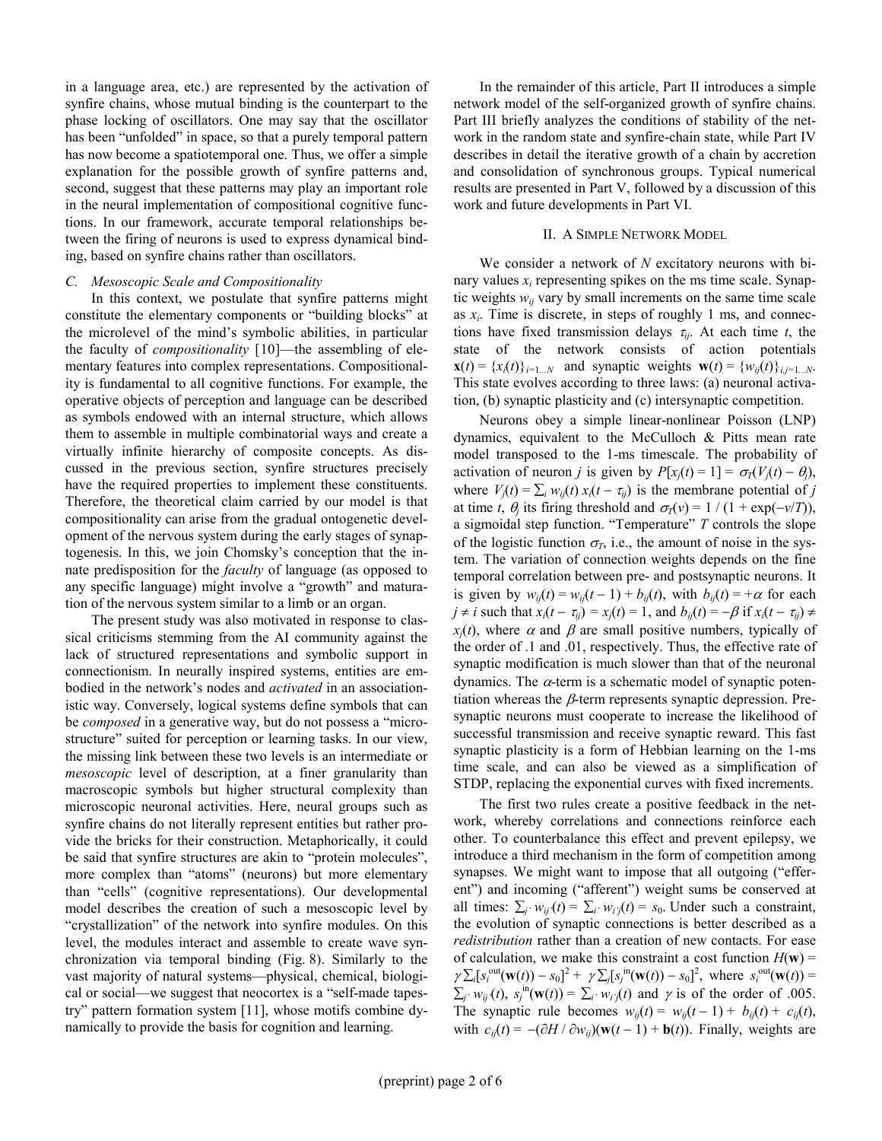in a language area, etc.) are represented by the activation of synfire chains, whose mutual binding is the counterpart to the phase locking of oscillators. One may say that the oscillator has been "unfolded" in space, so that a purely temporal pattern has now become a spatiotemporal one. Thus, we offer a simple explanation for the possible growth of synfire patterns and, second, suggest that these patterns may play an important role in the neural implementation of compositional cognitive functions. In our framework, accurate temporal relationships between the firing of neurons is used to express dynamical binding, based on synfire chains rather than oscillators.

# C. Mesoscopic Scale and Compositionality

In this context, we postulate that synfire patterns might constitute the elementary components or "building blocks" at the microlevel of the mind's symbolic abilities, in particular the faculty of compositionality [10]—the assembling of elementary features into complex representations. Compositionality is fundamental to all cognitive functions. For example, the operative objects of perception and language can be described as symbols endowed with an internal structure, which allows them to assemble in multiple combinatorial ways and create a virtually infinite hierarchy of composite concepts. As discussed in the previous section, synfire structures precisely have the required properties to implement these constituents. Therefore, the theoretical claim carried by our model is that compositionality can arise from the gradual ontogenetic development of the nervous system during the early stages of synaptogenesis. In this, we join Chomsky's conception that the innate predisposition for the *faculty* of language (as opposed to any specific language) might involve a "growth" and maturation of the nervous system similar to a limb or an organ.

The present study was also motivated in response to classical criticisms stemming from the AI community against the lack of structured representations and symbolic support in connectionism. In neurally inspired systems, entities are embodied in the network's nodes and activated in an associationistic way. Conversely, logical systems define symbols that can be composed in a generative way, but do not possess a "microstructure" suited for perception or learning tasks. In our view, the missing link between these two levels is an intermediate or mesoscopic level of description, at a finer granularity than macroscopic symbols but higher structural complexity than microscopic neuronal activities. Here, neural groups such as synfire chains do not literally represent entities but rather provide the bricks for their construction. Metaphorically, it could be said that synfire structures are akin to "protein molecules", more complex than "atoms" (neurons) but more elementary than "cells" (cognitive representations). Our developmental model describes the creation of such a mesoscopic level by "crystallization" of the network into synfire modules. On this level, the modules interact and assemble to create wave synchronization via temporal binding (Fig. 8). Similarly to the vast majority of natural systems—physical, chemical, biological or social—we suggest that neocortex is a "self-made tapestry" pattern formation system [11], whose motifs combine dynamically to provide the basis for cognition and learning.

In the remainder of this article, Part II introduces a simple network model of the self-organized growth of synfire chains. Part III briefly analyzes the conditions of stability of the network in the random state and synfire-chain state, while Part IV describes in detail the iterative growth of a chain by accretion and consolidation of synchronous groups. Typical numerical results are presented in Part V, followed by a discussion of this work and future developments in Part VI.

#### II. A SIMPLE NETWORK MODEL

We consider a network of  $N$  excitatory neurons with binary values  $x_i$  representing spikes on the ms time scale. Synaptic weights  $w_{ij}$  vary by small increments on the same time scale as  $x_i$ . Time is discrete, in steps of roughly 1 ms, and connections have fixed transmission delays  $\tau_{ij}$ . At each time t, the state of the network consists of action potentials  $\mathbf{x}(t) = \{x_i(t)\}_{i=1...N}$  and synaptic weights  $\mathbf{w}(t) = \{w_{ij}(t)\}_{i,j=1...N}$ . This state evolves according to three laws: (a) neuronal activation, (b) synaptic plasticity and (c) intersynaptic competition.

Neurons obey a simple linear-nonlinear Poisson (LNP) dynamics, equivalent to the McCulloch & Pitts mean rate model transposed to the 1-ms timescale. The probability of activation of neuron j is given by  $P[x_i(t) = 1] = \sigma_T(V_i(t) - \theta_i)$ , where  $V_j(t) = \sum_i w_{ij}(t) x_i(t - \tau_{ij})$  is the membrane potential of j at time t,  $\theta_j$  its firing threshold and  $\sigma_T(v) = 1 / (1 + \exp(-v/T))$ , a sigmoidal step function. "Temperature"  $T$  controls the slope of the logistic function  $\sigma_T$ , i.e., the amount of noise in the system. The variation of connection weights depends on the fine temporal correlation between pre- and postsynaptic neurons. It is given by  $w_{ij}(t) = w_{ij}(t-1) + b_{ij}(t)$ , with  $b_{ij}(t) = +\alpha$  for each  $j \neq i$  such that  $x_i(t - \tau_{ii}) = x_i(t) = 1$ , and  $b_{ii}(t) = -\beta$  if  $x_i(t - \tau_{ii}) \neq i$  $x_i(t)$ , where  $\alpha$  and  $\beta$  are small positive numbers, typically of the order of .1 and .01, respectively. Thus, the effective rate of synaptic modification is much slower than that of the neuronal dynamics. The  $\alpha$ -term is a schematic model of synaptic potentiation whereas the  $\beta$ -term represents synaptic depression. Presynaptic neurons must cooperate to increase the likelihood of successful transmission and receive synaptic reward. This fast synaptic plasticity is a form of Hebbian learning on the 1-ms time scale, and can also be viewed as a simplification of STDP, replacing the exponential curves with fixed increments.

The first two rules create a positive feedback in the network, whereby correlations and connections reinforce each other. To counterbalance this effect and prevent epilepsy, we introduce a third mechanism in the form of competition among synapses. We might want to impose that all outgoing ("efferent") and incoming ("afferent") weight sums be conserved at all times:  $\sum_{i'} w_{ij}(t) = \sum_{i'} w_{ij}(t) = s_0$ . Under such a constraint, the evolution of synaptic connections is better described as a redistribution rather than a creation of new contacts. For ease of calculation, we make this constraint a cost function  $H(\mathbf{w}) =$  $\gamma \sum_i [s_i^{\text{out}}(\mathbf{w}(t)) - s_0]^2 + \gamma \sum_i [s_j^{\text{in}}(\mathbf{w}(t)) - s_0]^2$ , where  $s_i^{\text{out}}(\mathbf{w}(t)) =$  $\sum_{j'} w_{ij}(t)$ ,  $s_j^{in}(\mathbf{w}(t)) = \sum_{i'} w_{ij}(t)$  and  $\gamma$  is of the order of .005. The synaptic rule becomes  $w_{ij}(t) = w_{ij}(t-1) + b_{ij}(t) + c_{ij}(t)$ , with  $c_{ij}(t) = -(\partial H / \partial w_{ij})(\mathbf{w}(t-1) + \mathbf{b}(t))$ . Finally, weights are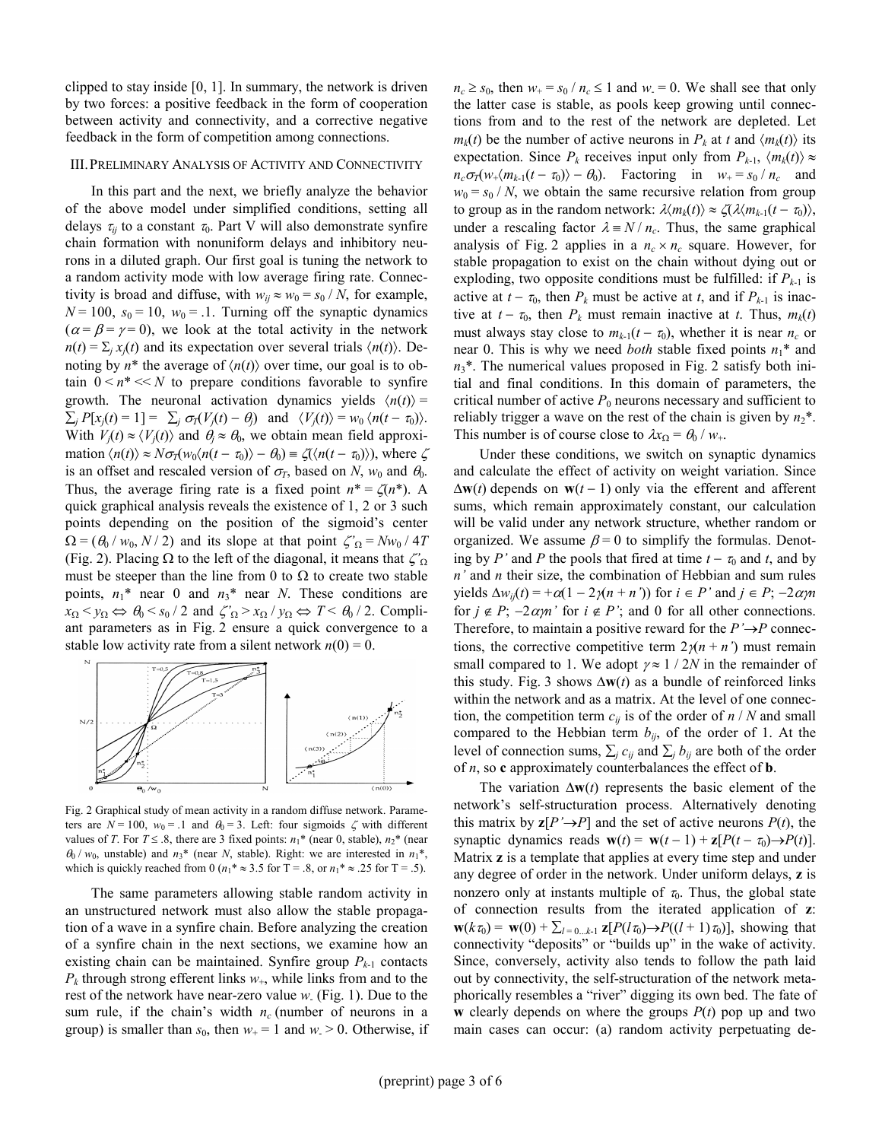clipped to stay inside [0, 1]. In summary, the network is driven by two forces: a positive feedback in the form of cooperation between activity and connectivity, and a corrective negative feedback in the form of competition among connections.

#### III. PRELIMINARY ANALYSIS OF ACTIVITY AND CONNECTIVITY

In this part and the next, we briefly analyze the behavior of the above model under simplified conditions, setting all delays  $\tau_{ii}$  to a constant  $\tau_0$ . Part V will also demonstrate synfire chain formation with nonuniform delays and inhibitory neurons in a diluted graph. Our first goal is tuning the network to a random activity mode with low average firing rate. Connectivity is broad and diffuse, with  $w_{ii} \approx w_0 = s_0 / N$ , for example,  $N = 100$ ,  $s_0 = 10$ ,  $w_0 = 1$ . Turning off the synaptic dynamics  $(\alpha = \beta = \gamma = 0)$ , we look at the total activity in the network  $n(t) = \sum_i x_i(t)$  and its expectation over several trials  $\langle n(t) \rangle$ . Denoting by  $n^*$  the average of  $\langle n(t) \rangle$  over time, our goal is to obtain  $0 \le n^* \le N$  to prepare conditions favorable to synfire growth. The neuronal activation dynamics yields  $\langle n(t) \rangle$  =  $\sum_j P[x_j(t) = 1] = \sum_j \sigma_T(V_j(t) - \theta_j)$  and  $\langle V_j(t) \rangle = w_0 \langle n(t - \tau_0) \rangle$ . With  $V_i(t) \approx \langle V_i(t) \rangle$  and  $\theta_i \approx \theta_0$ , we obtain mean field approximation  $\langle n(t) \rangle \approx N \sigma_T(w_0 \langle n(t - \tau_0) \rangle - \theta_0) \equiv \zeta(\langle n(t - \tau_0) \rangle)$ , where  $\zeta$ is an offset and rescaled version of  $\sigma_T$ , based on N, w<sub>0</sub> and  $\theta_0$ . Thus, the average firing rate is a fixed point  $n^* = \zeta(n^*)$ . A quick graphical analysis reveals the existence of 1, 2 or 3 such points depending on the position of the sigmoid's center  $\Omega = (\theta_0 / w_0, N / 2)$  and its slope at that point  $\zeta'_{\Omega} = N w_0 / 4T$ (Fig. 2). Placing  $\Omega$  to the left of the diagonal, it means that  $\zeta'_{\Omega}$ must be steeper than the line from 0 to  $\Omega$  to create two stable points,  $n_1^*$  near 0 and  $n_3^*$  near N. These conditions are  $x_{\Omega} < y_{\Omega} \Leftrightarrow \theta_0 < s_0 / 2$  and  $\zeta_{\Omega} > x_{\Omega} / y_{\Omega} \Leftrightarrow T < \theta_0 / 2$ . Compliant parameters as in Fig. 2 ensure a quick convergence to a stable low activity rate from a silent network  $n(0) = 0$ .



Fig. 2 Graphical study of mean activity in a random diffuse network. Parameters are  $N = 100$ ,  $w_0 = 0.1$  and  $\theta_0 = 3$ . Left: four sigmoids  $\zeta$  with different values of T. For  $T \leq .8$ , there are 3 fixed points:  $n_1^*$  (near 0, stable),  $n_2^*$  (near  $\theta_0$  /  $w_0$ , unstable) and  $n_3^*$  (near N, stable). Right: we are interested in  $n_1^*$ , which is quickly reached from 0 ( $n_1$ <sup>\*</sup>  $\approx$  3.5 for T = .8, or  $n_1$ <sup>\*</sup>  $\approx$  .25 for T = .5).

The same parameters allowing stable random activity in an unstructured network must also allow the stable propagation of a wave in a synfire chain. Before analyzing the creation of a synfire chain in the next sections, we examine how an existing chain can be maintained. Synfire group  $P_{k-1}$  contacts  $P_k$  through strong efferent links  $w_+$ , while links from and to the rest of the network have near-zero value  $w$ . (Fig. 1). Due to the sum rule, if the chain's width  $n_c$  (number of neurons in a group) is smaller than  $s_0$ , then  $w_+ = 1$  and  $w_0 > 0$ . Otherwise, if

 $n_c \geq s_0$ , then  $w_+ = s_0 / n_c \leq 1$  and  $w_+ = 0$ . We shall see that only the latter case is stable, as pools keep growing until connections from and to the rest of the network are depleted. Let  $m_k(t)$  be the number of active neurons in  $P_k$  at t and  $\langle m_k(t) \rangle$  its expectation. Since  $P_k$  receives input only from  $P_{k-1}$ ,  $\langle m_k(t) \rangle \approx$  $n_c \sigma_T(w_+ \langle m_{k-1}(t - \tau_0) \rangle - \theta_0)$ . Factoring in  $w_+ = s_0 / n_c$  and  $w_0 = s_0 / N$ , we obtain the same recursive relation from group to group as in the random network:  $\lambda \langle m_k(t) \rangle \approx \zeta(\lambda \langle m_{k-1}(t - \tau_0) \rangle$ , under a rescaling factor  $\lambda = N / n_c$ . Thus, the same graphical analysis of Fig. 2 applies in a  $n_c \times n_c$  square. However, for stable propagation to exist on the chain without dying out or exploding, two opposite conditions must be fulfilled: if  $P_{k-1}$  is active at  $t - \tau_0$ , then  $P_k$  must be active at t, and if  $P_{k-1}$  is inactive at  $t - \tau_0$ , then  $P_k$  must remain inactive at t. Thus,  $m_k(t)$ must always stay close to  $m_{k-1}(t - \tau_0)$ , whether it is near  $n_c$  or near 0. This is why we need *both* stable fixed points  $n_1^*$  and  $n_3$ <sup>\*</sup>. The numerical values proposed in Fig. 2 satisfy both initial and final conditions. In this domain of parameters, the critical number of active  $P_0$  neurons necessary and sufficient to reliably trigger a wave on the rest of the chain is given by  $n_2^*$ . This number is of course close to  $\lambda x_{\Omega} = \theta_0 / w_+$ .

Under these conditions, we switch on synaptic dynamics and calculate the effect of activity on weight variation. Since  $\Delta$ w(t) depends on w(t – 1) only via the efferent and afferent sums, which remain approximately constant, our calculation will be valid under any network structure, whether random or organized. We assume  $\beta = 0$  to simplify the formulas. Denoting by P' and P the pools that fired at time  $t - \tau_0$  and t, and by  $n'$  and  $n$  their size, the combination of Hebbian and sum rules yields  $\Delta w_{ij}(t) = +\alpha(1 - 2\gamma(n + n'))$  for  $i \in P'$  and  $j \in P'$ ;  $-2\alpha\gamma n$ for  $j \notin P$ ;  $-2\alpha m$  ' for  $i \notin P$ '; and 0 for all other connections. Therefore, to maintain a positive reward for the  $P' \rightarrow P$  connections, the corrective competitive term  $2(n + n')$  must remain small compared to 1. We adopt  $\gamma \approx 1 / 2N$  in the remainder of this study. Fig. 3 shows  $\Delta w(t)$  as a bundle of reinforced links within the network and as a matrix. At the level of one connection, the competition term  $c_{ij}$  is of the order of  $n / N$  and small compared to the Hebbian term  $b_{ij}$ , of the order of 1. At the level of connection sums,  $\sum_i c_{ij}$  and  $\sum_i b_{ij}$  are both of the order of  $n$ , so **c** approximately counterbalances the effect of **b**.

The variation  $\Delta w(t)$  represents the basic element of the network's self-structuration process. Alternatively denoting this matrix by  $z[P' \rightarrow P]$  and the set of active neurons  $P(t)$ , the synaptic dynamics reads  $\mathbf{w}(t) = \mathbf{w}(t-1) + \mathbf{z}[P(t-\tau_0) \rightarrow P(t)].$ Matrix z is a template that applies at every time step and under any degree of order in the network. Under uniform delays, z is nonzero only at instants multiple of  $\tau_0$ . Thus, the global state of connection results from the iterated application of z:  $\mathbf{w}(k\tau_0) = \mathbf{w}(0) + \sum_{l=0...k-1} \mathbf{z}[P(l\tau_0) \rightarrow P((l+1)\tau_0)],$  showing that connectivity "deposits" or "builds up" in the wake of activity. Since, conversely, activity also tends to follow the path laid out by connectivity, the self-structuration of the network metaphorically resembles a "river" digging its own bed. The fate of w clearly depends on where the groups  $P(t)$  pop up and two main cases can occur: (a) random activity perpetuating de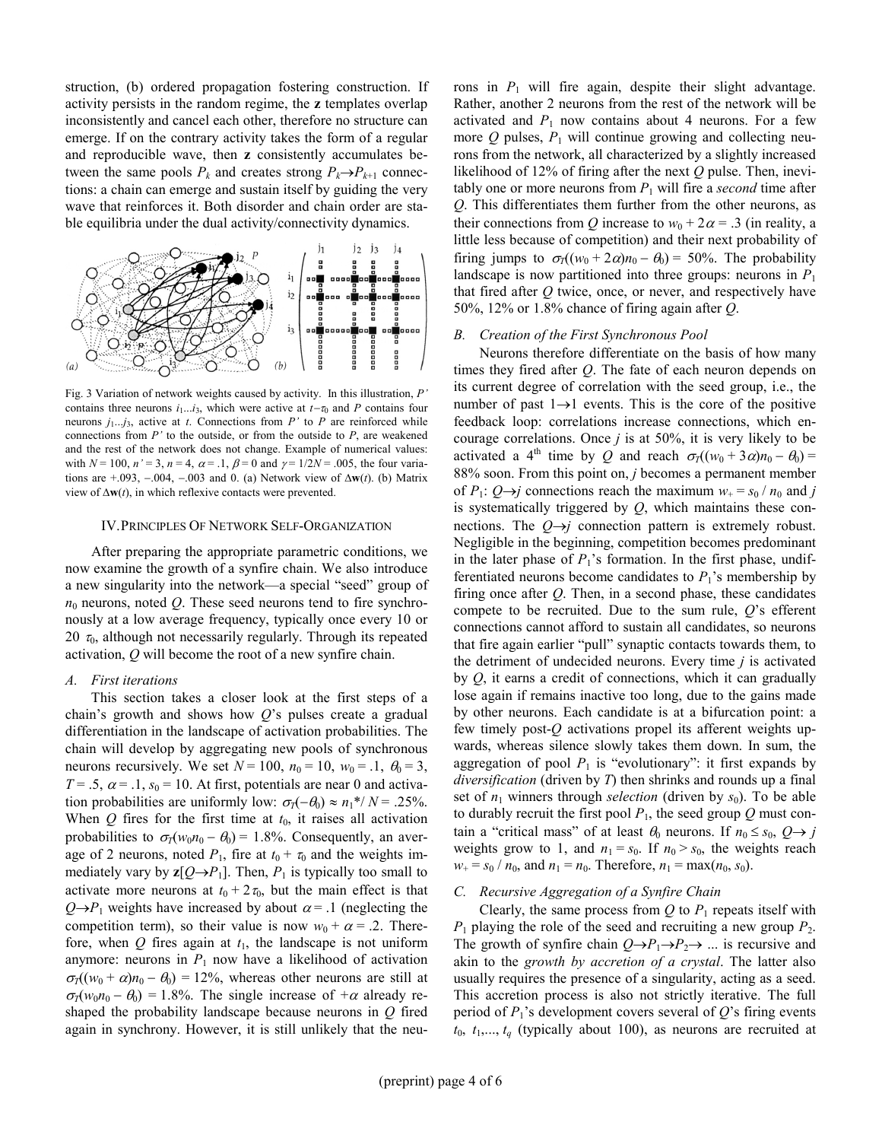struction, (b) ordered propagation fostering construction. If activity persists in the random regime, the z templates overlap inconsistently and cancel each other, therefore no structure can emerge. If on the contrary activity takes the form of a regular and reproducible wave, then z consistently accumulates between the same pools  $P_k$  and creates strong  $P_k \rightarrow P_{k+1}$  connections: a chain can emerge and sustain itself by guiding the very wave that reinforces it. Both disorder and chain order are stable equilibria under the dual activity/connectivity dynamics.



Fig. 3 Variation of network weights caused by activity. In this illustration, P' contains three neurons  $i_1...i_3$ , which were active at  $t-\tau_0$  and P contains four neurons  $j_1...j_3$ , active at t. Connections from P' to P are reinforced while connections from  $P'$  to the outside, or from the outside to  $P$ , are weakened and the rest of the network does not change. Example of numerical values: with  $N = 100$ ,  $n' = 3$ ,  $n = 4$ ,  $\alpha = 0.1$ ,  $\beta = 0$  and  $\gamma = 1/2N = 0.005$ , the four variations are  $+0.093$ ,  $-0.004$ ,  $-0.003$  and 0. (a) Network view of  $\Delta w(t)$ . (b) Matrix view of  $\Delta w(t)$ , in which reflexive contacts were prevented.

#### IV. PRINCIPLES OF NETWORK SELF-ORGANIZATION

After preparing the appropriate parametric conditions, we now examine the growth of a synfire chain. We also introduce a new singularity into the network—a special "seed" group of  $n_0$  neurons, noted Q. These seed neurons tend to fire synchronously at a low average frequency, typically once every 10 or 20  $\tau_0$ , although not necessarily regularly. Through its repeated activation, Q will become the root of a new synfire chain.

### A. First iterations

This section takes a closer look at the first steps of a chain's growth and shows how  $O$ 's pulses create a gradual differentiation in the landscape of activation probabilities. The chain will develop by aggregating new pools of synchronous neurons recursively. We set  $N = 100$ ,  $n_0 = 10$ ,  $w_0 = .1$ ,  $\theta_0 = 3$ ,  $T = .5$ ,  $\alpha = .1$ ,  $s_0 = 10$ . At first, potentials are near 0 and activation probabilities are uniformly low:  $\sigma_T(-\theta_0) \approx n_1^* / N = .25\%$ . When Q fires for the first time at  $t_0$ , it raises all activation probabilities to  $\sigma_T(w_0n_0 - \theta_0) = 1.8\%$ . Consequently, an average of 2 neurons, noted  $P_1$ , fire at  $t_0 + \tau_0$  and the weights immediately vary by  $z[Q \rightarrow P_1]$ . Then,  $P_1$  is typically too small to activate more neurons at  $t_0 + 2\tau_0$ , but the main effect is that  $Q\rightarrow P_1$  weights have increased by about  $\alpha = 0.1$  (neglecting the competition term), so their value is now  $w_0 + \alpha = 0.2$ . Therefore, when  $Q$  fires again at  $t_1$ , the landscape is not uniform anymore: neurons in  $P_1$  now have a likelihood of activation  $\sigma_T((w_0 + \alpha)n_0 - \theta_0) = 12\%$ , whereas other neurons are still at  $\sigma_T(w_0n_0 - \theta_0) = 1.8\%$ . The single increase of  $+\alpha$  already reshaped the probability landscape because neurons in  $Q$  fired again in synchrony. However, it is still unlikely that the neurons in  $P_1$  will fire again, despite their slight advantage. Rather, another 2 neurons from the rest of the network will be activated and  $P_1$  now contains about 4 neurons. For a few more  $Q$  pulses,  $P_1$  will continue growing and collecting neurons from the network, all characterized by a slightly increased likelihood of 12% of firing after the next  $Q$  pulse. Then, inevitably one or more neurons from  $P_1$  will fire a second time after Q. This differentiates them further from the other neurons, as their connections from Q increase to  $w_0 + 2\alpha = 0.3$  (in reality, a little less because of competition) and their next probability of firing jumps to  $\sigma_T((w_0 + 2\alpha)n_0 - \theta_0) = 50\%$ . The probability landscape is now partitioned into three groups: neurons in  $P_1$ that fired after  $Q$  twice, once, or never, and respectively have 50%, 12% or 1.8% chance of firing again after  $Q$ .

### B. Creation of the First Synchronous Pool

Neurons therefore differentiate on the basis of how many times they fired after Q. The fate of each neuron depends on its current degree of correlation with the seed group, i.e., the number of past  $1 \rightarrow 1$  events. This is the core of the positive feedback loop: correlations increase connections, which encourage correlations. Once  $j$  is at 50%, it is very likely to be activated a 4<sup>th</sup> time by Q and reach  $\sigma_T((w_0 + 3\alpha)n_0 - \theta_0) =$ 88% soon. From this point on, *j* becomes a permanent member of  $P_1$ :  $Q \rightarrow j$  connections reach the maximum  $w_+ = s_0 / n_0$  and j is systematically triggered by  $Q$ , which maintains these connections. The  $Q \rightarrow j$  connection pattern is extremely robust. Negligible in the beginning, competition becomes predominant in the later phase of  $P_1$ 's formation. In the first phase, undifferentiated neurons become candidates to  $P_1$ 's membership by firing once after  $Q$ . Then, in a second phase, these candidates compete to be recruited. Due to the sum rule,  $Q$ 's efferent connections cannot afford to sustain all candidates, so neurons that fire again earlier "pull" synaptic contacts towards them, to the detriment of undecided neurons. Every time  $i$  is activated by  $Q$ , it earns a credit of connections, which it can gradually lose again if remains inactive too long, due to the gains made by other neurons. Each candidate is at a bifurcation point: a few timely post- $Q$  activations propel its afferent weights upwards, whereas silence slowly takes them down. In sum, the aggregation of pool  $P_1$  is "evolutionary": it first expands by diversification (driven by T) then shrinks and rounds up a final set of  $n_1$  winners through selection (driven by  $s_0$ ). To be able to durably recruit the first pool  $P_1$ , the seed group Q must contain a "critical mass" of at least  $\theta_0$  neurons. If  $n_0 \leq s_0$ ,  $Q \rightarrow j$ weights grow to 1, and  $n_1 = s_0$ . If  $n_0 > s_0$ , the weights reach  $w_+ = s_0 / n_0$ , and  $n_1 = n_0$ . Therefore,  $n_1 = \max(n_0, s_0)$ .

#### C. Recursive Aggregation of a Synfire Chain

Clearly, the same process from  $Q$  to  $P_1$  repeats itself with  $P_1$  playing the role of the seed and recruiting a new group  $P_2$ . The growth of synfire chain  $Q \rightarrow P_1 \rightarrow P_2 \rightarrow \dots$  is recursive and akin to the growth by accretion of a crystal. The latter also usually requires the presence of a singularity, acting as a seed. This accretion process is also not strictly iterative. The full period of  $P_1$ 's development covers several of  $Q$ 's firing events  $t_0, t_1, \ldots, t_q$  (typically about 100), as neurons are recruited at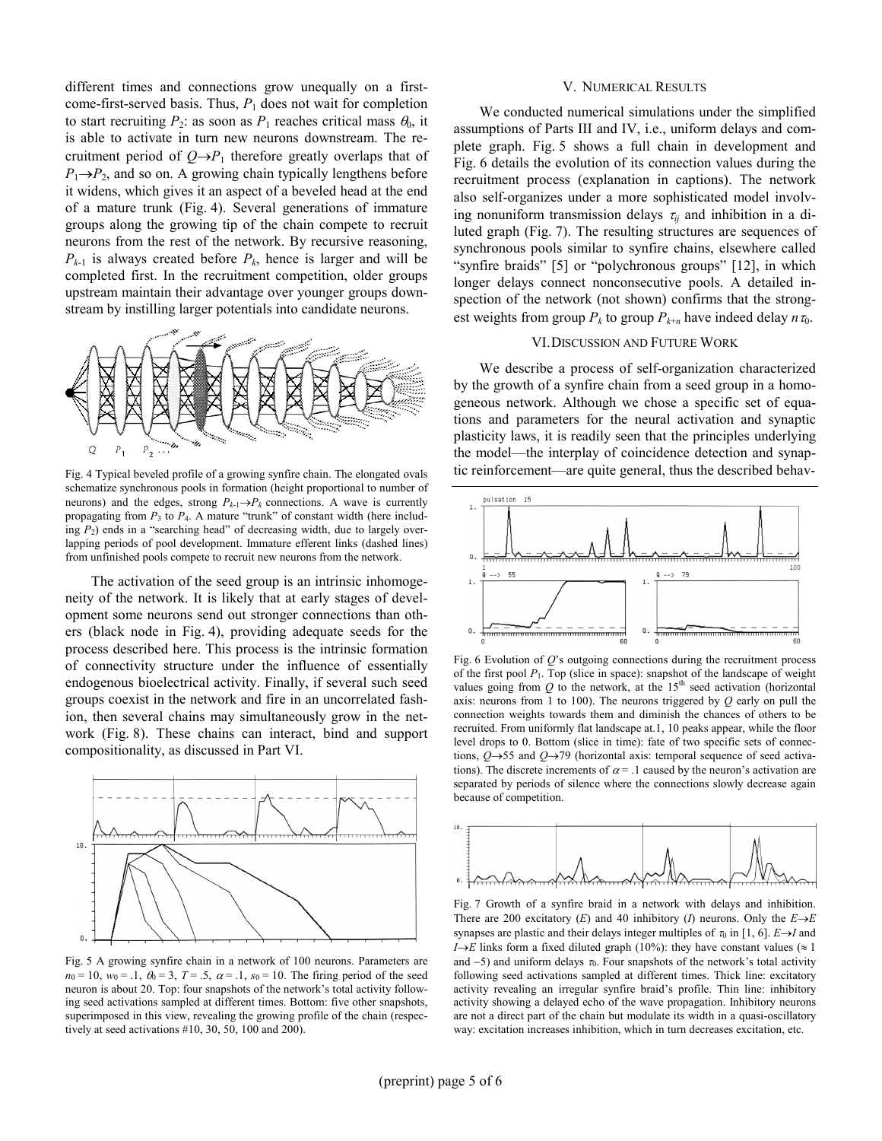different times and connections grow unequally on a firstcome-first-served basis. Thus,  $P_1$  does not wait for completion to start recruiting  $P_2$ : as soon as  $P_1$  reaches critical mass  $\theta_0$ , it is able to activate in turn new neurons downstream. The recruitment period of  $Q \rightarrow P_1$  therefore greatly overlaps that of  $P_1 \rightarrow P_2$ , and so on. A growing chain typically lengthens before it widens, which gives it an aspect of a beveled head at the end of a mature trunk (Fig. 4). Several generations of immature groups along the growing tip of the chain compete to recruit neurons from the rest of the network. By recursive reasoning,  $P_{k-1}$  is always created before  $P_k$ , hence is larger and will be completed first. In the recruitment competition, older groups upstream maintain their advantage over younger groups downstream by instilling larger potentials into candidate neurons.



Fig. 4 Typical beveled profile of a growing synfire chain. The elongated ovals schematize synchronous pools in formation (height proportional to number of neurons) and the edges, strong  $P_{k-1} \rightarrow P_k$  connections. A wave is currently propagating from  $P_3$  to  $P_4$ . A mature "trunk" of constant width (here including  $P_2$ ) ends in a "searching head" of decreasing width, due to largely overlapping periods of pool development. Immature efferent links (dashed lines) from unfinished pools compete to recruit new neurons from the network.

The activation of the seed group is an intrinsic inhomogeneity of the network. It is likely that at early stages of development some neurons send out stronger connections than others (black node in Fig. 4), providing adequate seeds for the process described here. This process is the intrinsic formation of connectivity structure under the influence of essentially endogenous bioelectrical activity. Finally, if several such seed groups coexist in the network and fire in an uncorrelated fashion, then several chains may simultaneously grow in the network (Fig. 8). These chains can interact, bind and support compositionality, as discussed in Part VI.



Fig. 5 A growing synfire chain in a network of 100 neurons. Parameters are  $n_0 = 10$ ,  $w_0 = .1$ ,  $\theta_0 = 3$ ,  $T = .5$ ,  $\alpha = .1$ ,  $s_0 = 10$ . The firing period of the seed neuron is about 20. Top: four snapshots of the network's total activity following seed activations sampled at different times. Bottom: five other snapshots, superimposed in this view, revealing the growing profile of the chain (respectively at seed activations #10, 30, 50, 100 and 200).

#### V. NUMERICAL RESULTS

We conducted numerical simulations under the simplified assumptions of Parts III and IV, i.e., uniform delays and complete graph. Fig. 5 shows a full chain in development and Fig. 6 details the evolution of its connection values during the recruitment process (explanation in captions). The network also self-organizes under a more sophisticated model involving nonuniform transmission delays  $\tau_{ii}$  and inhibition in a diluted graph (Fig. 7). The resulting structures are sequences of synchronous pools similar to synfire chains, elsewhere called "synfire braids" [5] or "polychronous groups" [12], in which longer delays connect nonconsecutive pools. A detailed inspection of the network (not shown) confirms that the strongest weights from group  $P_k$  to group  $P_{k+n}$  have indeed delay  $n\tau_0$ .

### VI. DISCUSSION AND FUTURE WORK

We describe a process of self-organization characterized by the growth of a synfire chain from a seed group in a homogeneous network. Although we chose a specific set of equations and parameters for the neural activation and synaptic plasticity laws, it is readily seen that the principles underlying the model—the interplay of coincidence detection and synaptic reinforcement—are quite general, thus the described behav-



Fig. 6 Evolution of  $Q$ 's outgoing connections during the recruitment process of the first pool  $P_1$ . Top (slice in space): snapshot of the landscape of weight values going from  $Q$  to the network, at the 15<sup>th</sup> seed activation (horizontal axis: neurons from 1 to 100). The neurons triggered by  $Q$  early on pull the connection weights towards them and diminish the chances of others to be recruited. From uniformly flat landscape at.1, 10 peaks appear, while the floor level drops to 0. Bottom (slice in time): fate of two specific sets of connections, Q→55 and Q→79 (horizontal axis: temporal sequence of seed activations). The discrete increments of  $\alpha = 0.1$  caused by the neuron's activation are separated by periods of silence where the connections slowly decrease again because of competition.



Fig. 7 Growth of a synfire braid in a network with delays and inhibition. There are 200 excitatory (E) and 40 inhibitory (I) neurons. Only the  $E\rightarrow E$ synapses are plastic and their delays integer multiples of  $\tau_0$  in [1, 6]. E→I and I $\rightarrow$ E links form a fixed diluted graph (10%): they have constant values ( $\approx$  1 and  $-5$ ) and uniform delays  $\tau_0$ . Four snapshots of the network's total activity following seed activations sampled at different times. Thick line: excitatory activity revealing an irregular synfire braid's profile. Thin line: inhibitory activity showing a delayed echo of the wave propagation. Inhibitory neurons are not a direct part of the chain but modulate its width in a quasi-oscillatory way: excitation increases inhibition, which in turn decreases excitation, etc.